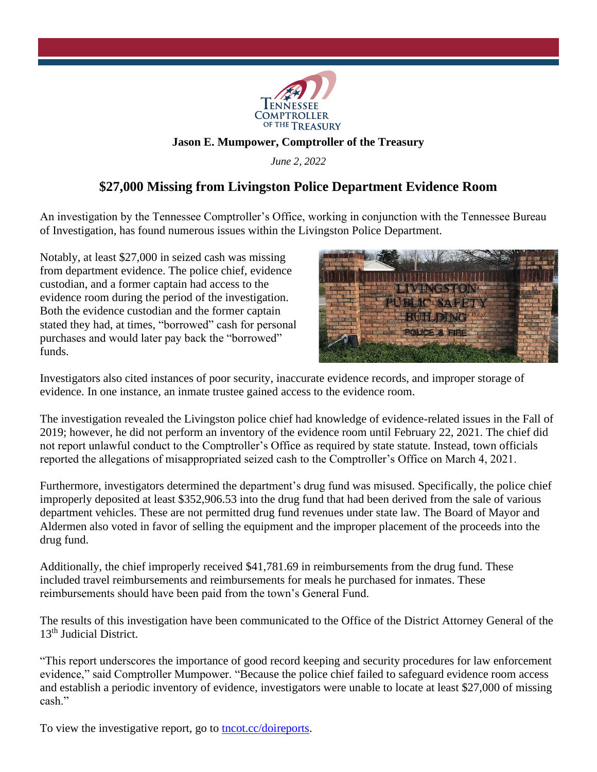

## **Jason E. Mumpower, Comptroller of the Treasury**

*June 2, 2022*

## **\$27,000 Missing from Livingston Police Department Evidence Room**

An investigation by the Tennessee Comptroller's Office, working in conjunction with the Tennessee Bureau of Investigation, has found numerous issues within the Livingston Police Department.

Notably, at least \$27,000 in seized cash was missing from department evidence. The police chief, evidence custodian, and a former captain had access to the evidence room during the period of the investigation. Both the evidence custodian and the former captain stated they had, at times, "borrowed" cash for personal purchases and would later pay back the "borrowed" funds.



Investigators also cited instances of poor security, inaccurate evidence records, and improper storage of evidence. In one instance, an inmate trustee gained access to the evidence room.

The investigation revealed the Livingston police chief had knowledge of evidence-related issues in the Fall of 2019; however, he did not perform an inventory of the evidence room until February 22, 2021. The chief did not report unlawful conduct to the Comptroller's Office as required by state statute. Instead, town officials reported the allegations of misappropriated seized cash to the Comptroller's Office on March 4, 2021.

Furthermore, investigators determined the department's drug fund was misused. Specifically, the police chief improperly deposited at least \$352,906.53 into the drug fund that had been derived from the sale of various department vehicles. These are not permitted drug fund revenues under state law. The Board of Mayor and Aldermen also voted in favor of selling the equipment and the improper placement of the proceeds into the drug fund.

Additionally, the chief improperly received \$41,781.69 in reimbursements from the drug fund. These included travel reimbursements and reimbursements for meals he purchased for inmates. These reimbursements should have been paid from the town's General Fund.

The results of this investigation have been communicated to the Office of the District Attorney General of the 13<sup>th</sup> Judicial District.

"This report underscores the importance of good record keeping and security procedures for law enforcement evidence," said Comptroller Mumpower. "Because the police chief failed to safeguard evidence room access and establish a periodic inventory of evidence, investigators were unable to locate at least \$27,000 of missing cash."

To view the investigative report, go to [tncot.cc/doireports.](https://tncot.cc/doireports)